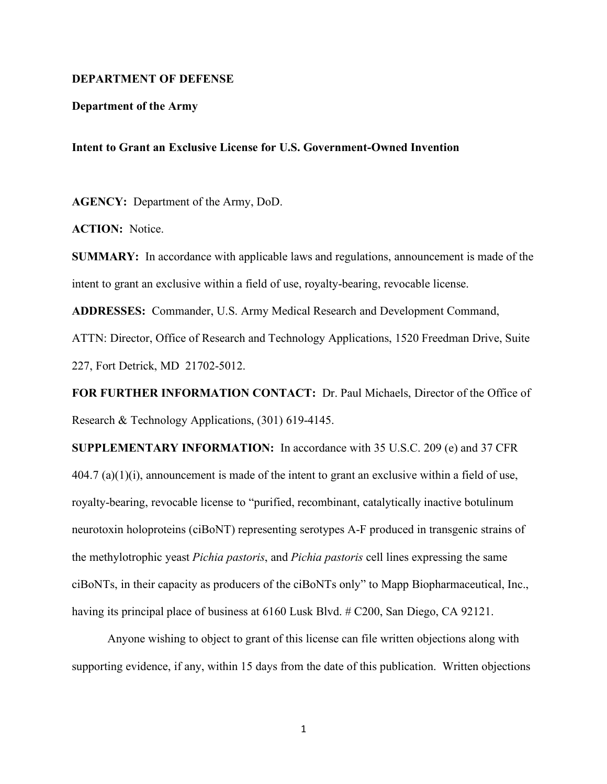## **DEPARTMENT OF DEFENSE**

## **Department of the Army**

## **Intent to Grant an Exclusive License for U.S. Government-Owned Invention**

**AGENCY:** Department of the Army, DoD.

**ACTION:** Notice.

**SUMMARY:** In accordance with applicable laws and regulations, announcement is made of the intent to grant an exclusive within a field of use, royalty-bearing, revocable license.

**ADDRESSES:** Commander, U.S. Army Medical Research and Development Command,

ATTN: Director, Office of Research and Technology Applications, 1520 Freedman Drive, Suite 227, Fort Detrick, MD 21702-5012.

**FOR FURTHER INFORMATION CONTACT:** Dr. Paul Michaels, Director of the Office of Research & Technology Applications, (301) 619-4145.

**SUPPLEMENTARY INFORMATION:** In accordance with 35 U.S.C. 209 (e) and 37 CFR  $404.7$  (a)(1)(i), announcement is made of the intent to grant an exclusive within a field of use, royalty-bearing, revocable license to "purified, recombinant, catalytically inactive botulinum neurotoxin holoproteins (ciBoNT) representing serotypes A-F produced in transgenic strains of the methylotrophic yeast *Pichia pastoris*, and *Pichia pastoris* cell lines expressing the same ciBoNTs, in their capacity as producers of the ciBoNTs only" to Mapp Biopharmaceutical, Inc., having its principal place of business at 6160 Lusk Blvd. # C200, San Diego, CA 92121.

Anyone wishing to object to grant of this license can file written objections along with supporting evidence, if any, within 15 days from the date of this publication. Written objections